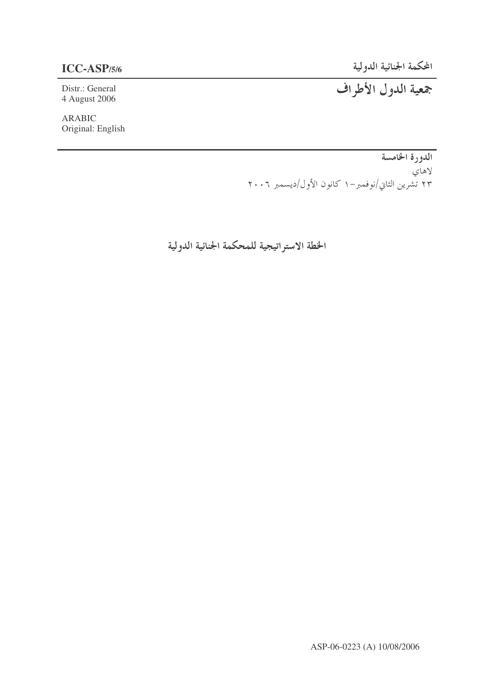# **ICC-ASP**/5/6

4 August 2006

ARABIC Original: English

-  **-ASP/5/6**

Distr.: General -

الدورة الخامسة لاهاي ۲۳ تشرین الثاني/نوفمبر–۱ کانون الأول/دیسمبر ۲۰۰۲

الخطة الاستراتيجية للمحكمة الجنائية الدولية

ASP-06-0223 (A) 10/08/2006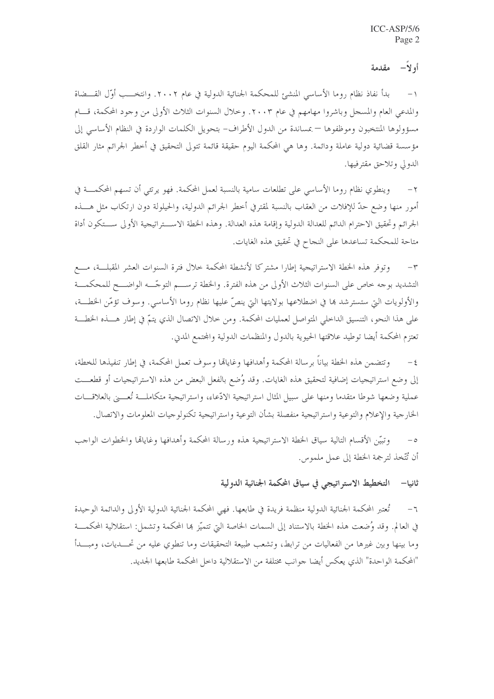### أو لأ− مقدمة

بدأ نفاذ نظام روما الأساسي المنشئ للمحكمة الجنائية الدولية في عام ٢٠٠٢. وانتخـــب أوَّل القـــضاة والمدعى العام والمسجل وباشروا مهامهم في عام ٢٠٠٣. وخلال السنوات الثلاث الأولى من وجود المحكمة، قـــام مسؤولوها المنتخبون وموظفوها — بمساندة من الدول الأطراف– بتحويل الكلمات الواردة في النظام الأساسي إلى مؤسسة قضائية دولية عاملة ودائمة. وها هي المحكمة اليوم حقيقة قائمة تتولى التحقيق في أخطر الجرائم مثار القلق الدولي وتلاحق مقترفيها.

وينطوي نظام روما الأساسي على تطلعات سامية بالنسبة لعمل المحكمة. فهو يرتثي أن تسهم المحكمـــة في  $-\tau$ أمور منها وضع حدّ للإفلات من العقاب بالنسبة لمقترفي أخطر الجرائم الدولية، والحيلولة دون ارتكاب مثل هــــذه الجرائم وتحقيق الاحترام الدائم للعدالة الدولية وإقامة هذه العدالة. وهذه الخطة الاســـتراتيجية الأولى ســـتكون أداة متاحة للمحكمة تساعدها على النجاح في تحقيق هذه الغايات.

وتوفر هذه الخطة الاستراتيجية إطارا مشتركا لأنشطة المحكمة حلال فترة السنوات العشر المقبلسة، مسع  $-\tau$ التشديد بوجه خاص على السنوات الثلاث الأولى من هذه الفترة. والخطة ترســـم التوجّـــه الواضـــح للمحكمـــة والأولويات التي ستسترشد ها في اضطلاعها بولايتها التي ينصُّ عليها نظام روما الأساسي. وسوف تؤمَّن الخطـــة، على هذا النحو، التنسيق الداخلي المتواصل لعمليات المحكمة. ومن خلال الاتصال الذي يتمّ في إطار هــــذه الخطـــة تعتزم المحكمة أيضا توطيد علاقتها الحيوية بالدول والمنظمات الدولية والمحتمع المدني.

وتتضمن هذه الخطة بياناً برسالة المحكمة وأهدافها وغاياقما وسوف تعمل المحكمة، في إطار تنفيذها للخطة،  $-\xi$ إلى وضع استراتيجيات إضافية لتحقيق هذه الغايات. وقد وُضع بالفعل البعض من هذه الاستراتيجيات أو قطعـــت عملية وضعها شوطا متقدما ومنها على سبيل المثال استراتيجية الادّعاء، واستراتيجية متكاملـــة تُعــــني بالعلاقـــات الخارجية والإعلام والتوعية واستراتيجية منفصلة بشأن التوعية واستراتيجية تكنولوجيات المعلومات والاتصال.

وتبيّن الأقسام التالية سياق الخطة الاستراتيجية هذه ورسالة المحكمة وأهدافها وغاياقما والخطوات الواجب  $\overline{\phantom{0}}$ أن تُتَّخذ لترجمة الخطة إلى عمل ملموس.

#### التخطيط الاستراتيجي في سياق المحكمة الجنائية الدولية ثانيا—

تُعتبر المحكمة الجنائية الدولية منظمة فريدة في طابعها. فهي المحكمة الجنائية الدولية الأولى والدائمة الوحيدة  $-7$ في العالم. وقد وُضعت هذه الخطة بالاستناد إلى السمات الخاصة التي تتميَّز ها المحكمة وتشمل: استقلالية المحكمـــة وما بينها وبين غيرها من الفعاليات من ترابط، وتشعب طبيعة التحقيقات وما تنطوي عليه من تحـــديات، ومبــــدأ "المحكمة الواحدة" الذي يعكس أيضا جوانب مختلفة من الاستقلالية داخل المحكمة طابعها الجديد.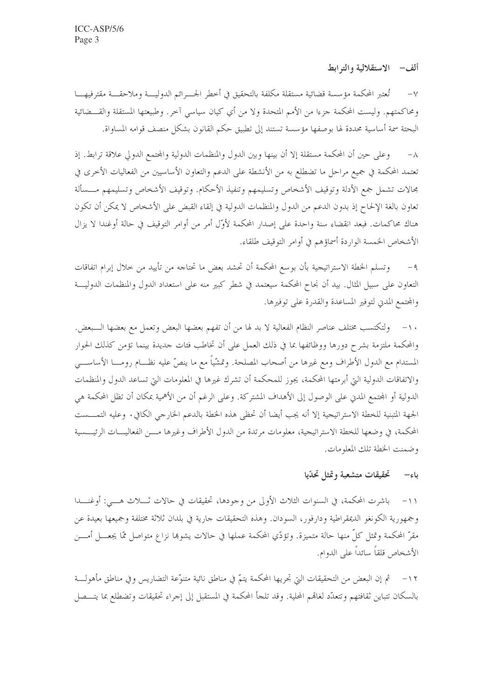ألف - الاستقلالية والتوابط

٧− تُعتبر المحكمة مؤسسة قضائية مستقلة مكلفة بالتحقيق في أخطر الجسـرائم الدوليــــة وملاحقــــة مقترفيهــــا ومحاكمتهم. وليست المحكمة جزءا من الأمم المتحدة ولا من أي كيان سياسي آخر. وطبيعتها المستقلة والقـــضائية البحتة سمة أساسية محددة لها بوصفها مؤسسة تستند إلى تطبيق حكم القانون بشكل منصف قوامه المساواة.

وعلى حين أن المحكمة مستقلة إلا أن بينها وبين الدول والمنظمات الدولية والمجتمع الدولي علاقة ترابط. إذ  $-\lambda$ تعتمد المحكمة في جميع مراحل ما تضطلع به من الأنشطة على الدعم والتعاون الأساسيين من الفعاليات الأخرى في مجالات تشمل جمع الأدلة وتوقيف الأشخاص وتسليمهم وتنفيذ الأحكام. وتوقيف الأشخاص وتسليمهم مـــسألة تعاون بالغة الإلحاح إذ بدون الدعم من الدول والمنظمات الدولية في إلقاء القبض على الأشخاص لا يمكن أن تكون هناك محاكمات. فبعد انقضاء سنة واحدة على إصدار المحكمة لأوّل أمر من أوامر التوقيف في حالة أوغندا لا يزال الأشخاص الخمسة الواردة أسماؤهم في أوامر التوقيف طلقاء.

وتسلم الخطة الاستراتيجية بأن بوسع المحكمة أن تحشد بعض ما تحتاجه من تأييد من حلال إبرام اتفاقات  $-9$ التعاون على سبيل المثال. بيد أن نجاح المحكمة سيعتمد في شطر كبير منه على استعداد الدول والمنظمات الدوليـــة والمحتمع المدني لتوفير المساعدة والقدرة على توفيرها.

١٠– ولتكتسب مختلف عناصر النظام الفعالية لا بد لها من أن تفهم بعضها البعض وتعمل مع بعضها الـــبعض. والمحكمة ملتزمة بشرح دورها ووظائفها بما في ذلك العمل على أن تخاطب فئات حديدة بينما تؤمن كذلك الحوار المستدام مع الدول الأطراف ومع غيرها من أصحاب المصلحة. وتمشّياً مع ما ينصّ عليه نظــام رومـــا الأساســـى والاتفاقات الدولية التي أبرمتها المحكمة، يجوز للمحكمة أن تشرك غيرها في المعلومات التي تساعد الدول والمنظمات الدولية أو المحتمع المدني على الوصول إلى الأهداف المشتركة. وعلى الرغم أن من الأهمية بمكان أن تظل المحكمة هي الجهة المتبنية للخطة الاستراتيجية إلا أنه يجب أيضا أن تحظى هذه الخطة بالدعم الخارجي الكافي. وعليه التمــــست المحكمة، في وضعها للخطة الاستراتيجية، معلومات مرتدة من الدول الأطراف وغيرها مـــن الفعاليـــات الرئيـــسية وضمنت الخطة تلك المعلومات.

#### تحقيقات متشعبة وتمثل تحدّيا باء—

باشرت المحكمة، في السنوات الثلاث الأولى من وجودها، تحقيقات في حالات ثــــلاث هـــــى: أوغنــــدا  $-11$ وجمهورية الكونغو الديمقراطية ودارفور، السودان. وهذه التحقيقات حارية في بلدان ثلاثة مختلفة وجميعها بعيدة عن مقرّ المحكمة وتمثل كلِّ منها حالة متميزة. وتؤدِّي المحكمة عملها في حالات يشوها نزاع متواصل ممّا يجعـــل أمـــن الأشخاص قلقاً سائداً على الدوام.

١٢ – ﴿ ثُمَّ إِنَّ البعض من التحقيقات الَّتِي تجريها المحكمة يتمَّ في مناطق نائية متنوَّعة التضاريس وفي مناطق مأهولـــة بالسكان تتباين ثقافتهم وتتعدَّد لغاقمم المحلية. وقد تلجأ المحكمة في المستقبل إلى إجراء تحقيقات وتضطلع بما يتـــصل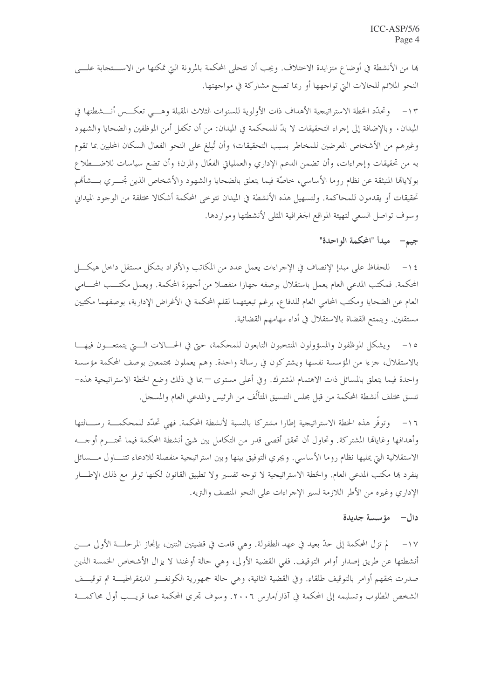ها من الأنشطة في أوضاع متزايدة الاختلاف. ويجب أن تتحلى المحكمة بالمرونة التي تمكنها من الاســـتجابة علــــى النحو الملائم للحالات التي تواجهها أو ربما تصبح مشاركة في مواجهتها.

١٣ - وتحدَّد الخطة الاستراتيجية الأهداف ذات الأولوية للسنوات الثلاث المقبلة وهـــي تعكـــس أنـــشطتها في الميدان. وبالإضافة إلى إجراء التحقيقات لا بدّ للمحكمة في الميدان: من أن تكفل أمن الموظفين والضحايا والشهود وغيرهم من الأشخاص المعرضين للمخاطر بسبب التحقيقات؛ وأن تُبلغ على النحو الفعال السكان المحليين بما تقوم به من تحقيقات وإجراءات، وأن تضمن الدعم الإداري والعملياتي الفعّال والمرن؛ وأن تضع سياسات للاضـــطلاع بولاياها المنبثقة عن نظام روما الأساسي، حاصَّة فيما يتعلق بالضحايا والشهود والأشخاص الذين تجسري بسشأفمم تحقيقات أو يقدمون للمحاكمة. ولتسهيل هذه الأنشطة في الميدان تتوخى المحكمة أشكالا مختلفة من الوجود الميداني وسوف تواصل السعى لتهيئة المواقع الجغرافية المثلى لأنشطتها ومواردها.

جيم— مبدأ "المحكمة الواحدة"

١٤ – للحفاظ على مبدإ الإنصاف في الإجراءات يعمل عدد من المكاتب والأفراد بشكل مستقل داخل هيكـــل المحكمة. فمكتب المدعى العام يعمل باستقلال بوصفه جهازا منفصلا من أجهزة المحكمة. ويعمل مكتـــب المحـــامي العام عن الضحايا ومكتب المحامي العام للدفاع، برغم تبعيتهما لقلم المحكمة في الأغراض الإدارية، بوصفهما مكتبين مستقلين. ويتمتع القضاة بالاستقلال في أداء مهامهم القضائية.

ويشكل الموظفون والمسؤولون المنتخبون التابعون للمحكمة، حتى في الحـــالات الــــتي يتمتعـــون فيهـــا  $-10$ بالاستقلال، جزءًا من المؤسسة نفسها ويشتركون في رسالة واحدة. وهم يعملون مجتمعين بوصف المحكمة مؤسسة واحدة فيما يتعلق بالمسائل ذات الاهتمام المشترك. وفي أعلى مستوى — بما في ذلك وضع الخطة الاستراتيجية هذه– تنسق مختلف أنشطة المحكمة من قبل مجلس التنسيق المتألّف من الرئيس والمدعي العام والمسحل.

وتوفُّر هذه الخطة الاستراتيجية إطارًا مشتركًا بالنسبة لأنشطة المحكمة. فهي تحدَّد للمحكمـــة رســـالتها  $-17$ وأهدافها وغاياها المشتركة. وتحاول أن تحقق أقصى قدر من التكامل بين شتى أنشطة المحكمة فيما تحتـــرم أوجــــه الاستقلالية التي يمليها نظام روما الأساسي. ويجري التوفيق بينها وبين استراتيجية منفصلة للادعاء تتنـــاول مـــسائل ينفرد ها مكتب المدعى العام. والخطة الاستراتيجية لا توجه تفسير ولا تطبيق القانون لكنها توفر مع ذلك الإطـــار الإداري وغيره من الأطر اللازمة لسير الإجراءات على النحو المنصف والنزيه.

## دال— مؤسسة جديدة

لم تزل المحكمة إلى حدّ بعيد في عهد الطفولة. وهي قامت في قضيتين اثنتين، بإنجاز المرحلـــة الأولى مــــن  $-1V$ أنشطتها عن طريق إصدار أوامر التوقيف. ففي القضية الأولى، وهي حالة أوغندا لا يزال الأشخاص الخمسة الذين صدرت بحقهم أوامر بالتوقيف طلقاء. وفي القضية الثانية، وهي حالة جمهورية الكونغـــو الديمقراطيــــة تم توقيـــف الشخص المطلوب وتسليمه إلى المحكمة في آذار/مارس ٢٠٠٦. وسوف تحري المحكمة عما قريـــب أول محاكمـــة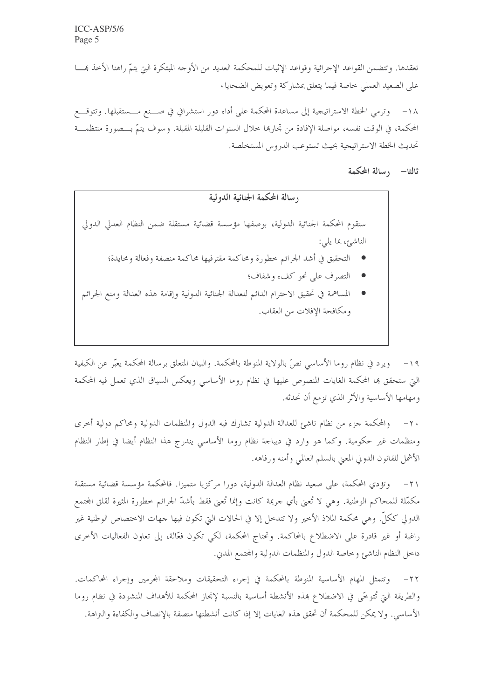تعقدها. وتتضمن القواعد الإجرائية وقواعد الإثبات للمحكمة العديد من الأوجه المبتكرة التي يتمّ راهنا الأخذ همسا على الصعيد العملي حاصة فيما يتعلق بمشاركة وتعويض الضحايا .

١٨– وترمى الخطة الاستراتيجية إلى مساعدة المحكمة على أداء دور استشرافي في صـــنع مــــستقبلها. وتتوقـــع المحكمة، في الوقت نفسه، مواصلة الإفادة من تجاربها حلال السنوات القليلة المقبلة. وسوف يتمَّ بـــصورة منتظمــــة تحديث الخطة الاستراتيجية بحيث تستوعب الدروس المستخلصة.

ثالثا— رسالة المحكمة

وسالة المحكمة الجنائية الدولية ستقوم المحكمة الجنائية الدولية، بوصفها مؤسسة قضائية مستقلة ضمن النظام العدلي الدولي الناشئ، بما يلي: ● التحقيق في أشد الجرائم خطورة ومحاكمة مقترفيها محاكمة منصفة وفعالة ومحايدة؛ ● التصرف على نحو كفء وشفاف؛ ● المساهمة في تحقيق الاحترام الدائم للعدالة الجنائية الدولية وإقامة هذه العدالة ومنع الجرائم ومكافحة الإفلات من العقاب.

١٩ – ويرد في نظام روما الأساسي نصَّ بالولاية المنوطة بالمحكمة. والبيان المتعلق برسالة المحكمة يعبّر عن الكيفية الَّتِي ستحقق بما المحكمة الغايات المنصوص عليها في نظام روما الأساسي ويعكس السياق الذي تعمل فيه المحكمة ومهامها الأساسية والأثر الذي تزمع أن تحدثه.

والمحكمة جزء من نظام ناشئ للعدالة الدولية تشارك فيه الدول والمنظمات الدولية ومحاكم دولية أحرى  $-\tau$ . ومنظمات غير حكومية. وكما هو وارد في ديباجة نظام روما الأساسي يندرج هذا النظام أيضا في إطار النظام الأشمل للقانون الدولي المعين بالسلم العالمي وأمنه ورفاهه.

٢١– وتؤدي المحكمة، على صعيد نظام العدالة الدولية، دورا مركزيا متميزا. فالمحكمة مؤسسة قضائية مستقلة مكمَّلة للمحاكم الوطنية. وهي لا تُعنى بأي حريمة كانت وإنما تُعنى فقط بأشدّ الجرائم خطورة المثيرة لقلق المجتمع الدولي ككلٌّ. وهي محكمة الملاذ الأخير ولا تتدخل إلا في الحالات التي تكون فيها جهات الاختصاص الوطنية غير راغبة أو غير قادرة على الاضطلاع بالمحاكمة. وتحتاج المحكمة، لكي تكون فعَّالة، إلى تعاون الفعاليات الأحرى داحل النظام الناشئ وخاصة الدول والمنظمات الدولية والمحتمع المدين.

٢٢– وتتمثل المهام الأساسية المنوطة بالمحكمة في إجراء التحقيقات وملاحقة المحرمين وإجراء المحاكمات. والطريقة التي تُتوحَّى في الاضطلاع بمذه الأنشطة أساسية بالنسبة لإنجاز المحكمة للأهداف المنشودة في نظام روما الأساسي . ولا يمكن للمحكمة أن تحقق هذه الغايات إلا إذا كانت أنشطتها متصفة بالإنصاف والكفاءة والتزاهة.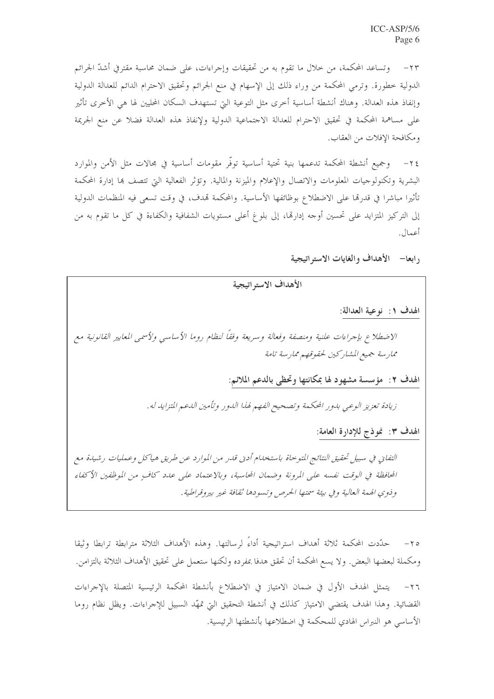وتساعد المحكمة، من حلال ما تقوم به من تحقيقات وإجراءات، على ضمان محاسبة مقترفي أشدّ الجرائم  $-\tau\tau$ الدولية خطورة. وترمى المحكمة من وراء ذلك إلى الإسهام في منع الجرائم وتحقيق الاحترام الدائم للعدالة الدولية وإنفاذ هذه العدالة. وهناك أنشطة أساسية أخرى مثل التوعية التي تستهدف السكان المحليين لها هي الأخرى تأثير على مساهمة المحكمة في تحقيق الاحترام للعدالة الاحتماعية الدولية ولإنفاذ هذه العدالة فضلا عن منع الجريمة ومكافحة الإفلات من العقاب.

٢٤- وجميع أنشطة المحكمة تدعمها بنية تحتية أساسية توفَّر مقومات أساسية في مجالات مثل الأمن والموارد البشرية وتكنولوجيات المعلومات والاتصال والإعلام والميزنة والمالية. وتؤثر الفعالية التي تتصف بما إدارة المحكمة تأثيرا مباشرا في قدرها على الاضطلاع بوظائفها الأساسية. والمحكمة تمدف، في وقت تسعى فيه المنظمات الدولية إلى التركيز المتزايد على تحسين أوجه إدارها، إلى بلوغ أعلى مستويات الشفافية والكفاءة في كل ما تقوم به من أعمال.

رابعا— الأهداف والغايات الاستراتيجية

الأهداف الاستر اتيجية

الهدف ١: نوعية العدالة:

الاضطلاع بإجراءات علنية ومنصفة وفعالة وسريعة وفقاً لنظام روما الأساسي ولأسمى المعايير القانونية مع ممارسة جميع المشاركين لحقوقهم ممارسة تامة

الهدف ٢: مؤسسة مشهود لها بمكانتها وتحظى بالدعم الملائم:

زيادة تعزيز الوعبي بدور المحكمة وتصحيح الفهم لهذا الدور وتأمين الدعم المتزايد له.

الهدف ٣: نموذج للإدارة العامة:

التفايي في سبيل تحقيق النتائج المتوحاة باستخدام أديي قدر من الموارد عن طريق هياكل وعمليات رشيدة مع المحافظة في الوقت نفسه على المرونة وضمان المحاسبة، وبالاعتماد على عدد كافٍ من الموظفين الأكفاء وذوي الهمة العالية وفي بيئة سمتها الحرص وتسودها ثقافة غير بيروقراطية .

٢٥– حدَّدت المحكمة ثلاثة أهداف استراتيجية أداءً لرسالتها. وهذه الأهداف الثلاثة مترابطة ترابطا وثيقا ومكملة لبعضها البعض. ولا يسع المحكمة أن تحقق هدفا بمفرده ولكنها ستعمل على تحقيق الأهداف الثلاثة بالتزامن.

٢٦- يتمثل الهدف الأول في ضمان الامتياز في الاضطلاع بأنشطة المحكمة الرئيسية المتصلة بالإجراءات القضائية. وهذا الهدف يقتضى الامتياز كذلك في أنشطة التحقيق التي تمهَّد السبيل للإجراءات. ويظل نظام روما الأساسي هو النبراس الهادي للمحكمة في اضطلاعها بأنشطتها الرئيسية.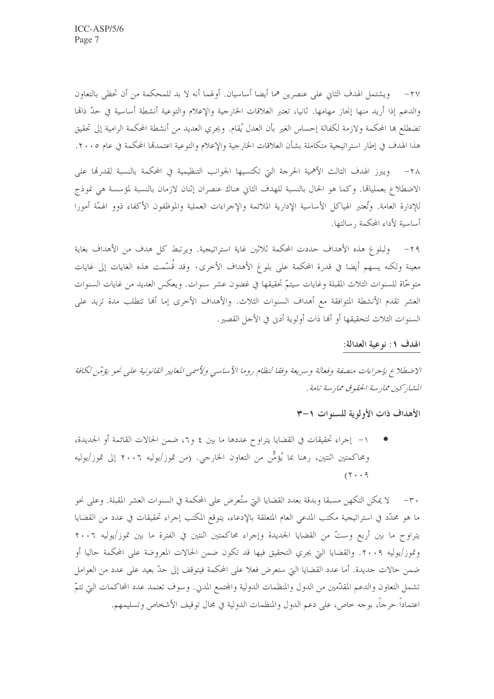٢٧– ويشتمل الهدف الثاني على عنصرين هما أيضا أساسيان. أولهما أنه لا بد للمحكمة من أن تحظى بالتعاون والدعم إذا أريد منها إنحاز مهامها. ثانيا، تعتبر العلاقات الخارجية والإعلام والتوعية أنشطة أساسية في حدّ ذاقما تضطلع بما المحكمة ولازمة لكفالة إحساس الغير بأن العدل يُقام. ويجري العديد من أنشطة المحكمة الرامية إلى تحقيق هذا الهدف في إطار استراتيجية متكاملة بشأن العلاقات الخارجية والإعلام والتوعية اعتمدقما المحكمة في عام ٢٠٠٥.

٢٨– ويبرز الهدف الثالث الأهمية الحرجة التي تكتسيها الجوانب التنظيمية في المحكمة بالنسبة لقدرقما على الاضطلاع بعمليالها. وكما هو الحال بالنسبة للهدف الثاني هناك عنصران إثنان لازمان بالنسبة لمؤسسة هي نموذج للإدارة العامة. وتُعتبر الهياكل الأساسية الإدارية الملائمة والإحراءات العملية والموظفون الأكفاء ذوو الهمّة أمورا أساسية لأداء المحكمة , سالتها.

٢٩– ولبلوغ هذه الأهداف حددت المحكمة ثلاثين غاية استراتيجية. ويرتبط كل هدف من الأهداف بغاية معينة ولكنه يسهم أيضا في قدرة المحكمة على بلوغ الأهداف الأخرى. وقد قُسّمت هذه الغايات إلى غايات متوخَّاة للسنوات الثلاث المقبلة وغايات سيتمَّ تحقيقها في غضون عشر سنوات. ويعكس العديد من غايات السنوات العشر تقدم الأنشطة المتوافقة مع أهداف السنوات الثلاث. والأهداف الأخرى إما ألها تتطلب مدة تزيد على السنوات الثلاث لتحقيقها أو ألها ذات أولوية أدنى في الأحل القصير.

### الهدف ١: نوعية العدالة:

الاضطلاع بإجراءات منصفة وفعالة وسريعة وفقا لنظام روما الأساسي ولأسمى المعايير القانونية على نحو يؤمّن لكافة المشاركين مماريبة الحقوق مماريبة تامة .

### الأهداف ذات الأولوية للسنوات ١-٣

١– إجراء تحقيقات في القضايا يتراوح عددها ما بين ٤ و٢، ضمن الحالات القائمة أو الجديدة، ومحاكمتين اثنتين، رهنا بما يُؤمُّن من التعاون الخارجي. (من تموز/يوليه ٢٠٠٦ إلى تموز/يوليه  $(1 \cdot 9)$ 

٣٠ – لا يمكن التكهن مسبقا وبدقة بعدد القضايا التي ستُعرض على المحكمة في السنوات العشر المقبلة. وعلى نحو ما هو محدّد في استراتيجية مكتب المدعى العام المتعلقة بالإدعاء، يتوقع المكتب إجراء تحقيقات في عدد من القضايا يتراوح ما بين أربع وستّ من القضايا الجديدة وإجراء محاكمتين اثنتين في الفترة ما بين تموز/يوليه ٢٠٠٦ وتموز/يوليه ٢٠٠٩. والقضايا التي يجري التحقيق فيها قد تكون ضمن الحالات المعروضة على المحكمة حاليا أو ضمن حالات جديدة. أما عدد القضايا التي ستعرض فعلا على المحكمة فيتوقف إلى حدّ بعيد على عدد من العوامل تشمل التعاون والدعم المقدّمين من الدول والمنظمات الدولية والمجتمع المديي. وسوف تعتمد عدد المحاكمات التي تتمّ اعتماداً حرجاً، بوجه حاص، على دعم الدول والمنظمات الدولية في مجال توقيف الأشخاص وتسليمهم.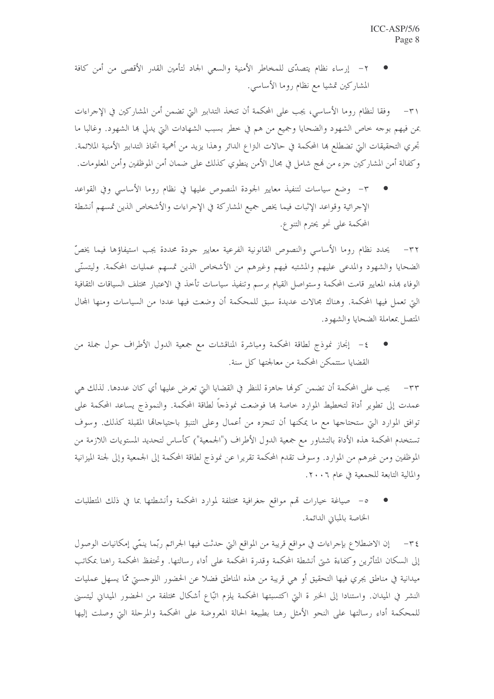٢ – إرساء نظام يتصدَّى للمخاطر الأمنية والسعى الجاد لتأمين القدر الأقصى من أمن كافة المشاركين تمشيا مع نظام روما الأساسي.

٣١- وفقا لنظام روما الأساسي، يجب على المحكمة أن تتخذ التدابير التي تضمن أمن المشاركين في الإجراءات بمن فيهم بوجه خاص الشهود والضحايا وجميع من هم في خطر بسبب الشهادات التي يدلي ها الشهود. وغالبا ما تحري التحقيقات التي تضطلع ها المحكمة في حالات النزاع الدائر وهذا يزيد من أهمية اتخاذ التدابير الأمنية الملائمة. وكفالة أمن المشاركين حزء من لهج شامل في مجال الأمن ينطوي كذلك على ضمان أمن الموظفين وأمن المعلومات.

٣- وضع سياسات لتنفيذ معايير الجودة المنصوص عليها في نظام روما الأساسي وفي القواعد الإجرائية وقواعد الإثبات فيما يخص جميع المشاركة في الإجراءات والأشخاص الذين تمسهم أنشطة المحكمة على نحو يحترم التنوع.

٣٢- يحدد نظام روما الأساسي والنصوص القانونية الفرعية معايير جودة محددة يجب استيفاؤها فيما يخصّ الضحايا والشهود والمدعى عليهم والمشتبه فيهم وغيرهم من الأشخاص الذين تمسهم عمليات المحكمة. وليتسنَّى الوفاء بمذه المعايير قامت المحكمة وستواصل القيام برسم وتنفيذ سياسات تأخذ في الاعتبار مختلف السياقات الثقافية التي تعمل فيها المحكمة. وهناك مجالات عديدة سبق للمحكمة أن وضعت فيها عددا من السياسات ومنها المحال المتصل بمعاملة الضحايا والشهود.

٤– إنجاز نموذج لطاقة المحكمة ومباشرة المناقشات مع جمعية الدول الأطراف حول جملة من القضايا ستتمكن المحكمة من معالجتها كل سنة.

٣٣ – يجب على المحكمة أن تضمن كوها جاهزة للنظر في القضايا التي تعرض عليها أي كان عددها. لذلك هي عمدت إلى تطوير أداة لتخطيط الموارد خاصة بما فوضعت نموذجاً لطاقة المحكمة. والنموذج يساعد المحكمة على توافق الموارد التي ستحتاجها مع ما يمكنها أن تنجزه من أعمال وعلى التنبؤ باحتياجاها المقبلة كذلك. وسوف تستخدم المحكمة هذه الأداة بالتشاور مع جمعية الدول الأطراف ("الجمعية") كأساس لتحديد المستويات اللازمة من الموظفين ومن غيرهم من الموارد. وسوف تقدم المحكمة تقريرا عن نموذج لطاقة المحكمة إلى الجمعية وإلى لجنة الميزانية والمالية التابعة للجمعية في عام ٢٠٠٦.

٥– صياغة حيارات قمم مواقع جغرافية مختلفة لموارد المحكمة وأنشطتها بما في ذلك المتطلبات الخاصة بالمباين الدائمة.

٣٤ – إن الاضطلاع بإجراءات في مواقع قريبة من المواقع التي حدثت فيها الجرائم ربّما ينمّي إمكانيات الوصول إلى السكان المتأثرين وكفاءة شتى أنشطة المحكمة وقدرة المحكمة على أداء رسالتها. وتحتفظ المحكمة راهنا بمكاتب ميدانية في مناطق يجري فيها التحقيق أو هي قريبة من هذه المناطق فضلا عن الحضور اللوجسيّ ممّا يسهل عمليات النشر في الميدان. واستنادا إلى الخبر ة التي اكتسبتها المحكمة يلزم اتبّاع أشكال مختلفة من الحضور الميداني ليتسنى للمحكمة أداء رسالتها على النحو الأمثل رهنا بطبيعة الحالة المعروضة على المحكمة والمرحلة التي وصلت إليها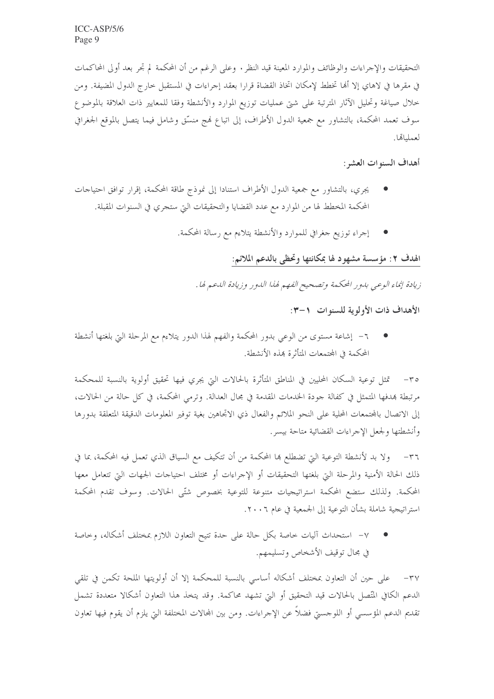التحقيقات والإجراءات والوظائف والموارد المعينة قيد النظر . وعلى الرغم من أن المحكمة لم تجر بعد أولى المحاكمات في مقرها في لاهاي إلا أُها تخطط لإمكان اتخاذ القضاة قرارا بعقد إجراءات في المستقبل حارج الدول المضيفة. ومن خلال صياغة وتحليل الآثار المترتبة على شتى عمليات توزيع الموارد والأنشطة وفقا للمعايير ذات العلاقة بالموضوع سوف تعمد المحكمة، بالتشاور مع جمعية الدول الأطراف، إلى اتباع فمج منسِّق وشامل فيما يتصل بالموقع الجغرافي لعملياتها.

أهداف السنوات العشر :

- يجري، بالتشاور مع جمعية الدول الأطراف استنادا إلى نموذج طاقة المحكمة، إقرار توافق احتياجات المحكمة المخطط لها من الموارد مع عدد القضايا والتحقيقات التي ستجري في السنوات المقبلة.
	- إجراء توزيع جغرافي للموارد والأنشطة يتلاءم مع رسالة المحكمة.

## الهدف ٢: مؤسسة مشهود لها بمكانتها وتحظى بالدعم الملائم:

زيادة إنماء الوعبي بدور المحكمة وتصحيح الفهم لهذا الدور وزيادة الدعم لها .

الأهداف ذات الأولوية للسنوات ١-٣:

٦– إشاعة مستوى من الوعي بدور المحكمة والفهم لهذا الدور يتلاءم مع المرحلة التي بلغتها أنشطة المحكمة في المحتمعات المتأثرة بهذه الأنشطة.

٣٥– تمثل توعية السكان المحليين في المناطق المتأثرة بالحالات التي يجري فيها تحقيق أولوية بالنسبة للمحكمة مرتبطة بمدفها المتمثل في كفالة جودة الحدمات المقدمة في مجال العدالة. وترمي المحكمة، في كل حالة من الحالات، إلى الاتصال بالمحتمعات المحلية على النحو الملائم والفعال ذي الاتحاهين بغية توفير المعلومات الدقيقة المتعلقة بدورها وأنشطتها ولجعل الإجراءات القضائية متاحة بيسر .

٣٦– ولا بد لأنشطة التوعية التي تضطلع بما المحكمة من أن تتكيف مع السياق الذي تعمل فيه المحكمة، بما في ذلك الحالة الأمنية والمرحلة التي بلغتها التحقيقات أو الإجراءات أو مختلف احتياجات الجهات التي تتعامل معها المحكمة. ولذلك ستضع المحكمة استراتيجيات متنوعة للتوعية بخصوص شتّى الحالات. وسوف تقدم المحكمة استر اتيجية شاملة بشأن التوعية إلى الجمعية في عام ٢٠٠٦.

٧– استحداث آليات خاصة بكل حالة على حدة تتيح التعاون اللازم بمختلف أشكاله، وخاصة في مجال توقيف الأشخاص وتسليمهم.

٣٧– على حين أن التعاون بمختلف أشكاله أساسى بالنسبة للمحكمة إلا أن أولويتها الملحة تكمن في تلقى الدعم الكافي المتَّصل بالحالات قيد التحقيق أو التي تشهد محاكمة. وقد يتخذ هذا التعاون أشكالا متعددة تشمل تقديم الدعم المؤسسي أو اللوجسيّ فضلاً عن الإجراءات. ومن بين المحالات المختلفة التي يلزم أن يقوم فيها تعاون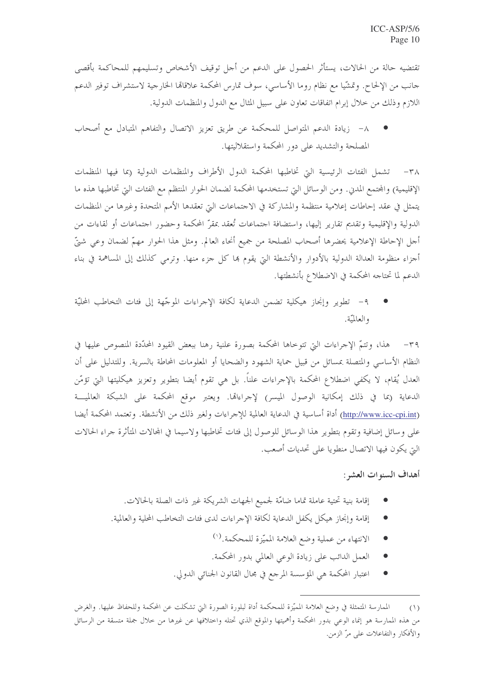تقتضيه حالة من الحالات، يستأثر الحصول على الدعم من أحل توقيف الأشخاص وتسليمهم للمحاكمة بأقصى حانب من الإلحاح. وتمشَّيا مع نظام روما الأساسي، سوف تمارس المحكمة علاقالها الخارجية لاستشراف توفير الدعم اللازم وذلك من خلال إبرام اتفاقات تعاون على سبيل المثال مع الدول والمنظمات الدولية.

٨– زيادة الدعم المتواصل للمحكمة عن طريق تعزيز الاتصال والتفاهم المتبادل مع أصحاب المصلحة والتشديد على دور المحكمة واستقلاليتها.

٣٨- تشمل الفئات الرئيسية التي تخاطبها المحكمة الدول الأطراف والمنظمات الدولية (بما فيها المنظمات الإقليمية) والمحتمع المديي. ومن الوسائل التي تستخدمها المحكمة لضمان الحوار المنتظم مع الفئات التي تخاطبها هذه ما يتمثل في عقد إحاطات إعلامية منتظمة والمشاركة في الاحتماعات التي تعقدها الأمم المتحدة وغيرها من المنظمات الدولية والإقليمية وتقديم تقارير إليها، واستضافة احتماعات تُعقد بمقرّ المحكمة وحضور احتماعات أو لقاءات من أحل الإحاطة الإعلامية يحضرها أصحاب المصلحة من جميع أنحاء العالم. ومثل هذا الحوار مهمّ لضمان وعي شيّ أجزاء منظومة العدالة الدولية بالأدوار والأنشطة التي يقوم بما كل جزء منها. وترمى كذلك إلى المساهمة في بناء الدعم لما تحتاجه المحكمة في الاضطلاع بأنشطتها.

٩– تطوير وإنجاز هيكلية تضمن الدعاية لكافة الإجراءات الموجّهة إلى فئات التخاطب المحليّة والعالميّة.

٣٩- هذا، وتتمَّ الإجراءات التي تتوخاها المحكمة بصورة علنية رهنا ببعض القيود المحدَّدة المنصوص عليها في النظام الأساسي والمتصلة بمسائل من قبيل حماية الشهود والضحايا أو المعلومات المحاطة بالسرية. وللتدليل على أن العدل يُقام، لا يكفى اضطلاع المحكمة بالإجراءات علناً. بل هي تقوم أيضا بتطوير وتعزيز هيكليتها التي تؤمّن الدعاية (بما في ذلك إمكانية الوصول الميسر) لإجراءالها. ويعتبر موقع المحكمة على الشبكة العالميـــة (http://www.icc-cpi.int) أداة أساسية في الدعاية العالمية للإحراءات ولغير ذلك من الأنشطة. وتعتمد المحكمة أيضا على وسائل إضافية وتقوم بتطوير هذا الوسائل للوصول إلى فئات تخاطبها ولاسيما في المحالات المتأثرة جراء الحالات التي يكون فيها الاتصال منطويا على تحديات أصعب.

أهداف السنوات العشر :

- إقامة بنية تحتية عاملة تماما ضامّة لجميع الجهات الشريكة غير ذات الصلة بالحالات.
- إقامة وإنحاز هيكل يكفل الدعاية لكافة الإجراءات لدى فئات التخاطب المحلية والعالمية.
	- الانتهاء من عملية وضع العلامة المميّزة للمحكمة.<sup>(١)</sup>  $\bullet$
	- العمل الدائب على زيادة الوعي العالمي بدور المحكمة.  $\bullet$
	- اعتبار المحكمة هي المؤسسة المرجع في مجال القانون الجنائي الدولي.  $\bullet$

الممارسة المتمثلة في وضع العلامة المميّزة للمحكمة أداة لبلورة الصورة التي تشكلت عن المحكمة وللحفاظ عليها. والغرض  $(1)$ من هذه الممارسة هو إنماء الوعى بدور المحكمة وأهميتها والموقع الذي تحتله واختلافها عن غيرها من خلال جملة متسقة من الرسائل والأفكار والتفاعلات على مرّ الزمن.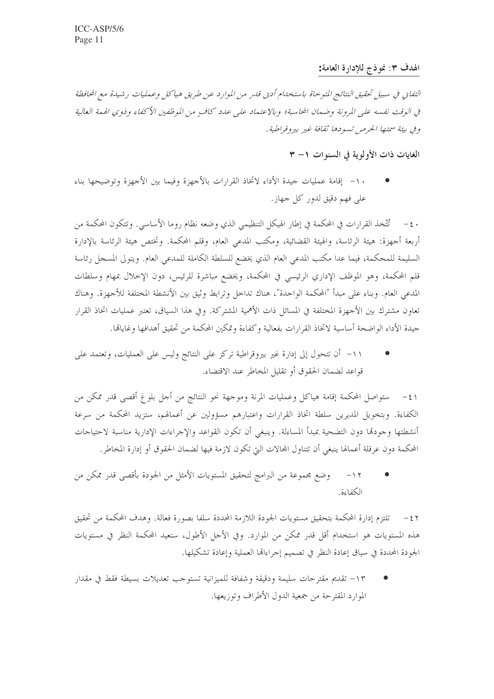الهدف ٣: نموذج للإدارة العامة:

التفايي في سبيل تحقيق النتائج المتوحاة باستخدام أديي قدر من الموارد عن طريق هياكل وعمليات رشيدة مع الحافظة في الوقت نفسه على المرونة وضمان المحاسبة؛ وبالاعتماد على عدد كافٍ من الموظفين الأكفاء وذوي الهمة العالية و في بيئة سمتها الحرص تسودها ثقافة غير بيروقراطية .

الغايات ذات الأولوية في السنوات ١- ٣

١٠- إقامة عمليات جيدة الأداء لاتخاذ القرارات بالأجهزة وفيما بين الأجهزة وتوضيحها بناء علي فهم دقيق لدور كل جهاز .

· ٤- تُتَّخذ القرارات في المحكمة في إطار الهيكل التنظيمي الذي وضعه نظام روما الأساسي. وتتكون المحكمة من أربعة أجهزة: هيئة الرئاسة، والهيئة القضائية، ومكتب المدعى العام، وقلم المحكمة. وتختص هيئة الرئاسة بالإدارة السليمة للمحكمة، فيما عدا مكتب المدعي العام الذي يخضع للسلطة الكاملة للمدعي العام. ويتولى المسجل رئاسة قلم المحكمة، وهو الموظف الإداري الرئيسي في المحكمة، ويخضع مباشرة للرئيس، دون الإخلال بمهام وسلطات المدعى العام. وبناء على مبدأ "المحكمة الواحدة"، هناك تداحل وترابط وثيق بين الأنشطة المختلفة للأجهزة. وهناك تعاون مشترك بين الأجهزة المختلفة في المسائل ذات الأهمية المشتركة. وفي هذا السياق، تعتبر عمليات اتخاذ القرار جيدة الأداء الواضحة أساسية لاتخاذ القرارات بفعالية وكفاءة وتمكين المحكمة من تحقيق أهدافها وغاياقما.

١١- أن تتحول إلى إدارة غير بيروقراطية تركز على النتائج وليس على العمليات، وتعتمد على قواعد لضمان الحقوق أو تقليل المخاطر عند الاقتضاء.

٤١ – ستواصل المحكمة إقامة هياكل وعمليات المرنة وموجهة نحو النتائج من أجل بلوغ أقصى قدر ممكن من الكفاءة. وبتخويل المديرين سلطة اتخاذ القرارات واعتبارهم مسؤولين عن أعمالهم، ستزيد المحكمة من سرعة أنشطتها وحودقما دون التضحية بمبدأ المساءلة. وينبغي أن تكون القواعد والإحراءات الإدارية مناسبة لاحتياحات المحكمة دون عرقلة أعمالها ينبغي أن تتناول المحالات التي تكون لازمة فيها لضمان الحقوق أو إدارة المخاطر.

وضع مجموعة من البرامج لتحقيق المستويات الأمثل من الجودة بأقصى قدر ممكن من  $-11$ الكفاءة

٤٢ – تلتزم إدارة المحكمة بتحقيق مستويات الجودة اللازمة المحددة سلفا بصورة فعالة. وهدف المحكمة من تحقيق هذه المستويات هو استخدام أقل قدر ممكن من الموارد. وفي الأحل الأطول، ستعيد المحكمة النظر في مستويات الجودة المحددة في سياق إعادة النظر في تصميم إجراءالها العملية وإعادة تشكيلها.

١٣– تقديم مقترحات سليمة ودقيقة وشفافة للميزانية تستوجب تعديلات بسيطة فقط في مقدار الموارد المقترحة من جمعية الدول الأطراف وتوزيعها.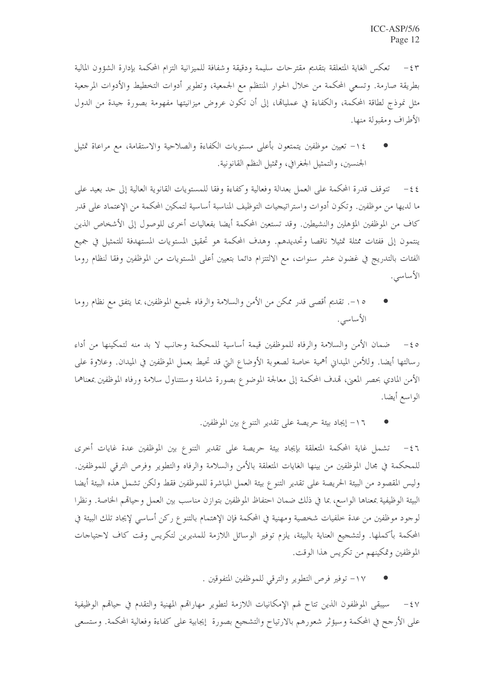تعكس الغاية المتعلقة بتقديم مقترحات سليمة ودقيقة وشفافة للميزانية التزام المحكمة بإدارة الشؤون المالية بطريقة صارمة. وتسعى المحكمة من خلال الحوار المنتظم مع الجمعية، وتطوير أدوات التخطيط والأدوات المرجعية مثل نموذج لطاقة المحكمة، والكفاءة في عمليالها، إلى أن تكون عروض ميزانيتها مفهومة بصورة حيدة من الدول الأطراف ومقبولة منها.

١٤– تعيين موظفين يتمتعون بأعلى مستويات الكفاءة والصلاحية والاستقامة، مع مراعاة تمثيل الجنسين، والتمثيل الجغرافي، وتمثيل النظم القانونية.

٤٤ – تتوقف قدرة المحكمة على العمل بعدالة وفعالية وكفاءة وفقا للمستويات القانوية العالية إلى حد بعيد على ما لديها من موظفين. وتكون أدوات واستراتيجيات التوظيف المناسبة أساسية لتمكين المحكمة من الإعتماد على قدر كاف من الموظفين المؤهلين والنشيطين. وقد تستعين المحكمة أيضا بفعاليات أخرى للوصول إلى الأشخاص الذين ينتمون إلى ففئات ممثلة تمثيلا ناقصا وتحديدهم. وهدف المحكمة هو تحقيق المستويات المستهدفة للتمثيل في جميع الفئات بالتدريج في غضون عشر سنوات، مع الالتتزام دائما بتعيين أعلى المستويات من الموظفين وفقا لنظام روما الأساسى.

٥١-. تقديم أقصى قدر ممكن من الأمن والسلامة والرفاه لجميع الموظفين، بما يتفق مع نظام روما الأساسى.

0 ε− ضمان الأمن والسلامة والرفاه للموظفين قيمة أساسية للمحكمة وحانب لا بد منه لتمكينها من أداء رسالتها أيضا. وللأمن الميداني أهمية خاصة لصعوبة الأوضاع التي قد تحيط بعمل الموظفين في الميدان. وعلاوة على الأمن المادي بحصر المعنى، قمدف المحكمة إلى معالجة الموضوع بصورة شاملة وستتناول سلامة ورفاه الموظفين بمعناهما الواسع أيضا.

١٦- إيجاد بيئة حريصة على تقدير التنوع بين الموظفين.

٤٦ – تشمل غاية المحكمة المتعلقة بإيجاد بيئة حريصة على تقدير التنوع بين الموظفين عدة غايات أخرى للمحكمة في مجال الموظفين من بينها الغايات المتعلقة بالأمن والسلامة والرفاه والتطوير وفرص الترقي للموظفين. وليس المقصود من البيئة الحريصة على تقدير التنوع بيئة العمل المباشرة للموظفين فقط ولكن تشمل هذه البيئة أيضا البيئة الوظيفية بمعناها الواسع، بما في ذلك ضمان احتفاظ الموظفين بتوازن مناسب بين العمل وحياقمم الخاصة. ونظرا لوجود موظفين من عدة خلفيات شخصية ومهنية في المحكمة فإن الإهتمام بالتنوع ركن أساسى لإيجاد تلك البيئة في المحكمة بأكملها. ولتشجيع العناية بالبيئة، يلزم توفير الوسائل اللازمة للمديرين لتكريس وقت كاف لاحتياجات الموظفين وتمكينهم من تكريس هذا الوقت.

١٧- توفير فرص التطوير والترقي للموظفين المتفوقين .

٤٧ – سيبقى الموظفون الذين تتاح لهم الإمكانيات اللازمة لتطوير مهاراقمم المهنية والتقدم في حياقمم الوظيفية على الأرجح في المحكمة وسيؤثر شعورهم بالارتياح والتشجيع بصورة إيجابية على كفاءة وفعالية المحكمة. وستسعى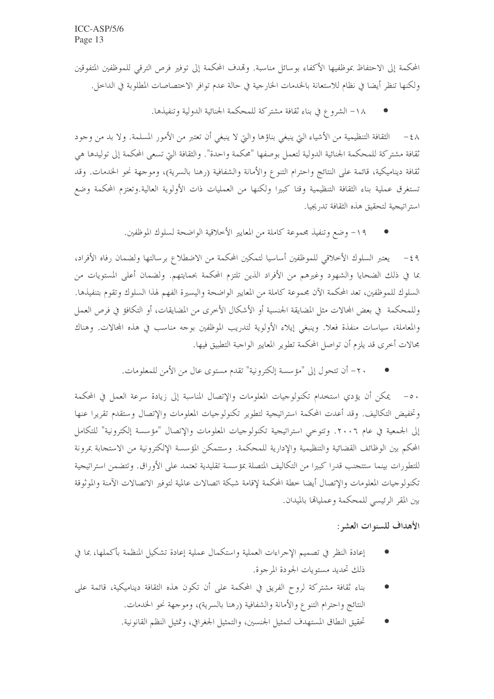المحكمة إلى الاحتفاظ بموظفيها الأكفاء بوسائل مناسبة. وقمدف المحكمة إلى توفير فرص الترقي للموظفين المتفوقين ولكنها تنظر أيضا في نظام للاستعانة بالخدمات الخارجية في حالة عدم توافر الاختصاصات المطلوبة في الداحل.

١٨- الشروع في بناء ثقافة مشتركة للمحكمة الجنائية الدولية وتنفيذها.

٤٨ – الثقافة التنظيمية من الأشياء التي ينبغي بناؤها والتي لا ينبغي أن تعتبر من الأمور المسلمة. ولا بد من وجود ثقافة مشتركة للمحكمة الجنائية الدولية لتعمل بوصفها "محكمة واحدة". والثقافة التي تسعى المحكمة إلى توليدها هي ثقافة ديناميكية، قائمة على النتائج واحترام التنوع والأمانة والشفافية (رهنا بالسرية)، وموجهة نحو الخدمات. وقد تستغرق عملية بناء الثقافة التنظيمية وقتا كبيرا ولكنها من العمليات ذات الأولوية العالية.وتعتزم المحكمة وضع استر اتيجية لتحقيق هذه الثقافة تدريجيا.

١٩- وضع وتنفيذ مجموعة كاملة من المعايير الأخلاقية الواضحة لسلوك الموظفين.

٤٩ – يعتبر السلوك الأخلاقي للموظفين أساسيا لتمكين المحكمة من الاضطلاع برسالتها ولضمان رفاه الأفراد، بما في ذلك الضحايا والشهود وغيرهم من الأفراد الذين تلتزم المحكمة بحمايتهم. ولضمان أعلى المستويات من السلوك للموظفين، تعد المحكمة الآن مجموعة كاملة من المعايير الواضحة واليسيرة الفهم لهذا السلوك وتقوم بتنفيذها. وللمحكمة في بعض المحالات مثل المضايقة الجنسية أو الأشكال الأخرى من المضايقات، أو التكافؤ في فرص العمل والمعاملة، سياسات منفذة فعلا. وينبغي إيلاء الأولوية لتدريب الموظفين بوحه مناسب في هذه المحالات. وهناك محالات أخرى قد يلزم أن تواصل المحكمة تطوير المعايير الواجبة التطبيق فيها.

٢٠- أن تتحول إلى "مؤسسة إلكترونية" تقدم مستوى عال من الأمن للمعلومات.

٥٠ – \_ يمكن أن يؤدي استخدام تكنولوجيات المعلومات والإتصال المناسبة إلى زيادة سرعة العمل في المحكمة وتخفيض التكاليف. وقد أعدت المحكمة استراتيجية لتطوير تكنولوجيات المعلومات والإتصال وستقدم تقريرا عنها إلى الجمعية في عام ٢٠٠٦. وتتوحى استراتيجية تكنولوجيات المعلومات والإتصال "مؤسسة إلكترونية" للتكامل المحكم بين الوظائف القضائية والتنظيمية والإدارية للمحكمة. وستتمكن المؤسسة الإلكترونية من الاستجابة بمرونة للتطورات بينما ستتجنب قدرا كبيرا من التكاليف المتصلة بمؤسسة تقليدية تعتمد على الأوراق. وتتضمن استراتيجية تكنولوجيات المعلومات والإتصال أيضا حطة المحكمة لإقامة شبكة اتصالات عالمية لتوفير الاتصالات الآمنة والموثوقة بين المقر الرئيسي للمحكمة وعمليالها بالميدان.

الأهداف للسنوات العشر:

- إعادة النظر في تصميم الإحراءات العملية واستكمال عملية إعادة تشكيل المنظمة بأكملها، بما في ذلك تحديد مستويات الجودة المرجوة.
- بناء ثقافة مشتركة لروح الفريق في المحكمة على أن تكون هذه الثقافة ديناميكية، قائمة على النتائج واحترام التنوع والأمانة والشفافية (رهنا بالسرية)، وموجهة نحو الخدمات.
	- تحقيق النطاق المستهدف لتمثيل الجنسين، والتمثيل الجغرافي، وتمثيل النظم القانونية.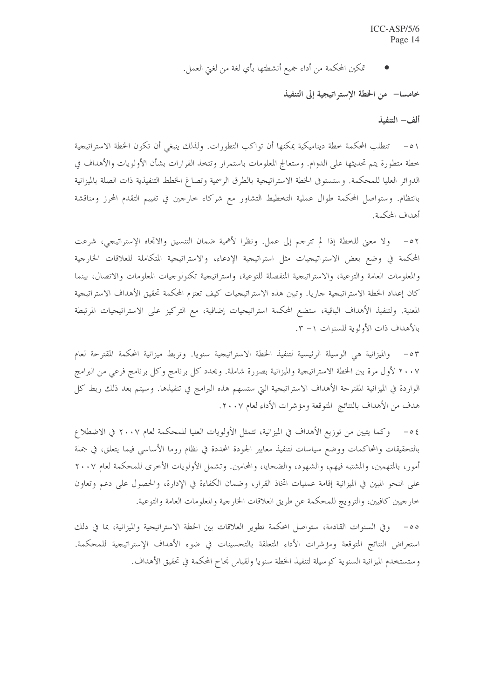تمكين المحكمة من أداء جميع أنشطتها بأي لغة من لغبيّ العمل.

خامسا— من الخطة الإستر اتيجية إلى التنفيذ

ألف- التنفيذ

٥١ – تتطلب المحكمة حطة ديناميكية يمكنها أن تواكب التطورات. ولذلك ينبغي أن تكون الخطة الاستراتيجية خطة متطورة يتم تحديثها على الدوام. وستعالج المعلومات باستمرار وتتخذ القرارات بشأن الأولويات والأهداف في الدوائر العليا للمحكمة. وستستوفى الخطة الاستراتيجية بالطرق الرسمية وتصاغ الخطط التنفيذية ذات الصلة بالميزانية بانتظام. وستواصل المحكمة طوال عملية التخطيط التشاور مع شركاء حارجين في تقييم التقدم المحرز ومناقشة أهداف المحكمة.

٥٢ - ولا معنى للخطة إذا لم تترجم إلى عمل. ونظرًا لأهمية ضمان التنسيق والاتجاه الإستراتيجي، شرعت المحكمة في وضع بعض الاستراتيجيات مثل استراتيجية الإدعاء، والاستراتيجية المتكاملة للعلاقات الخارجية والمعلومات العامة والتوعية، والاستراتيجية المنفصلة للتوعية، واستراتيجية تكنولوجيات المعلومات والاتصال، بينما كان إعداد الخطة الاستراتيجية جاريا. وتبين هذه الاستراتيجيات كيف تعتزم المحكمة تحقيق الأهداف الاستراتيجية المعنية. ولتنفيذ الأهداف الباقية، ستضع المحكمة استراتيجيات إضافية، مع التركيز على الاستراتيجيات المرتبطة بالأهداف ذات الأولوية للسنوات ١- ٣.

٥٣ – والميزانية هي الوسيلة الرئيسية لتنفيذ الخطة الاستراتيجية سنويا. وتربط ميزانية المحكمة المقترحة لعام ٢٠٠٧ لأول مرة بين الخطة الاستراتيجية والميزانية بصورة شاملة. ويحدد كل برنامج وكل برنامج فرعى من البرامج الواردة في الميزانية المقترحة الأهداف الاستراتيجية التي ستسهم هذه البرامج في تنفيذها. وسيتم بعد ذلك ربط كل هدف من الأهداف بالنتائج المتوقعة ومؤشرات الأداء لعام ٢٠٠٧.

٤٥– وكما يتبين من توزيع الأهداف في الميزانية، تتمثل الأولويات العليا للمحكمة لعام ٢٠٠٧ في الاضطلاع بالتحقيقات والمحاكمات ووضع سياسات لتنفيذ معايير الجودة المحددة في نظام روما الأساسي فيما يتعلق، في جملة أمور، بالمتهمين، والمشتبه فيهم، والشهود، والضحايا، والمحامين. وتشمل الأولويات الأخرى للمحكمة لعام ٢٠٠٧ على النحو المبين في الميزانية إقامة عمليات اتخاذ القرار، وضمان الكفاءة في الإدارة، والحصول على دعم وتعاون خارجيين كافيين، والترويج للمحكمة عن طريق العلاقات الخارجية والمعلومات العامة والتوعية.

وفي السنوات القادمة، ستواصل المحكمة تطوير العلاقات بين الخطة الاستراتيجية والميزانية، بما في ذلك استعراض النتائج المتوقعة ومؤشرات الأداء المتعلقة بالتحسينات في ضوء الأهداف الإستراتيجية للمحكمة. وستستخدم الميزانية السنوية كوسيلة لتنفيذ الخطة سنويا ولقياس نجاح المحكمة في تحقيق الأهداف.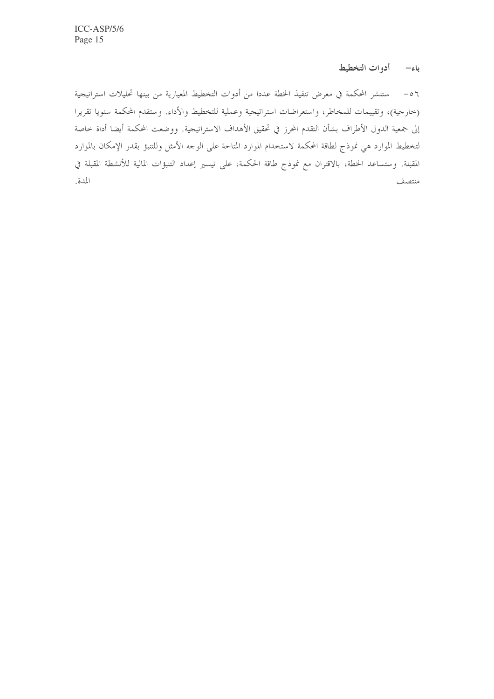## باء– أدوات التخطيط

٥٦ – مستنشر المحكمة في معرض تنفيذ الخطة عددا من أدوات التخطيط المعيارية من بينها تحليلات استراتيجية (حارجية)، وتقييمات للمخاطر، واستعراضات استراتيجية وعملية للتخطيط والأداء. وستقدم المحكمة سنويا تقريرا إلى جمعية الدول الأطراف بشأن التقدم المحرز في تحقيق الأهداف الاستراتيجية. ووضعت المحكمة أيضا أداة حاصة لتخطيط الموارد هي نموذج لطاقة المحكمة لاستخدام الموارد المتاحة على الوحه الأمثل وللتنبؤ بقدر الإمكان بالموارد المقبلة. وستساعد الخطة، بالاقتران مع نموذج طاقة الحكمة، على تيسير إعداد التنبؤات المالية للأنشطة المقبلة في المدة. منتصف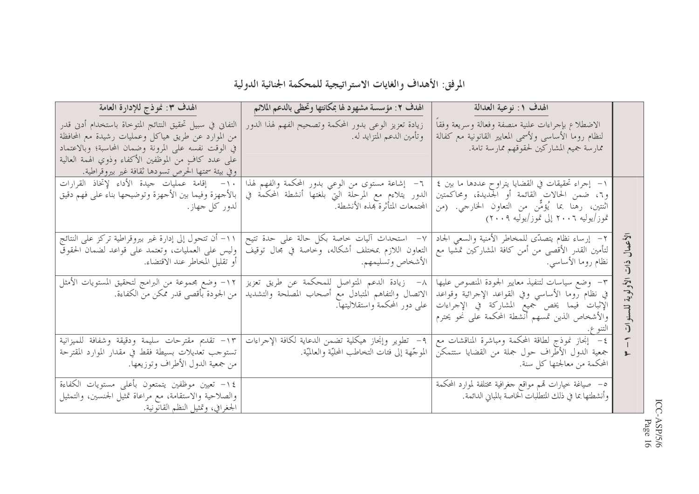المرفق: الأهداف والغايات الاستراتيجية للمحكمة الجنائية الدولية

| الهدف ٣: نموذج للإدارة العامة<br>التفاني في سبيل تحقيق النتائج المتوحاة باستخدام أدني قدر<br>من الموارد عن طريق هياكل وعمليات رشيدة مع المحافظة<br>في الوقت نفسه على المرونة وضمان المحاسبة؛ وبالاعتماد<br>على عدد كافٍ من الموظفين الأكفاء وذوي الهمة العالية<br>وفي بيئة سمتها الحرص تسودها ثقافة غير بيروقراطية. | الهدف ٢: مؤسسة مشهود لها بمكانتها وتحظى بالدعم الملائم<br>زيادة تعزيز الوعى بدور المحكمة وتصحيح الفهم لهذا الدور<br>وتأمين الدعم المتزايد له.  | الهدف ١: نوعية العدالة<br>الاضطلاع بإجراءات علنية منصفة وفعالة وسريعة وفقا<br>لنظام روما الأساسي ولأسمى المعايير القانونية مع كفالة<br>ممارسة جميع المشاركين لحقوقهم ممارسة تامة.                         |                          |
|---------------------------------------------------------------------------------------------------------------------------------------------------------------------------------------------------------------------------------------------------------------------------------------------------------------------|------------------------------------------------------------------------------------------------------------------------------------------------|-----------------------------------------------------------------------------------------------------------------------------------------------------------------------------------------------------------|--------------------------|
| ١٠- إقامة عمليات حيدة الأداء لإتخاذ القرارات<br>بالأجهزة وفيما بين الأجهزة وتوضيحها بناء على فهم دقيق<br>لدور کل جهاز.                                                                                                                                                                                              | ٦- إشاعة مستوى من الوعى بدور المحكمة والفهم لهذا<br>الدور يتلاءم مع المرحلة التي بلغتها أنشطة المحكمة في<br>  المجتمعات المتأثرة بمذه الأنشطة. | ١- إجراء تحقيقات في القضايا يتراوح عددها ما بين ٤<br>و٦، ضمن الحالات القائمة أو الجديدة، ومحاكمتين<br>اثنتين، رهنا بما يُؤمَّن من التعاون الخارجي. (من<br>  تموز/يوليه ٢٠٠٦ إلى تموز/يوليه ٢٠٠٩)          |                          |
| ١١– أن تتحول إلى إدارة غير بيروقراطية تركز على النتائج<br>وليس على العمليات، وتعتمد على قواعد لضمان الحقوق<br>  أو تقليل المخاطر عند الاقتضاء.                                                                                                                                                                      | ٧- استحداث آليات خاصة بكل حالة على حدة تتيح<br>التعاون اللازم بمختلف أشكاله، وخاصة في مجال توقيف<br>الأشخاص وتسليمهم.                          | ٢- إرساء نظام يتصدّى للمخاطر الأمنية والسعى الجاد<br>لتأمين القدر الأقصى من أمن كافة المشاركين تمشيا مع<br>  نظام روما الأساسي.                                                                           | الأعمال<br>$\frac{1}{1}$ |
| ١٢– وضع مجموعة من البرامج لتحقيق المستويات الأمثل<br>من الجودة بأقصى قدر ممكن من الكفاءة.                                                                                                                                                                                                                           | ٨– زيادة الدعم المتواصل للمحكمة عن طريق تعزيز<br>الاتصال والتفاهم المتبادل مع أصحاب المصلحة والتشديد<br>  على دور المحكمة واستقلاليتها.        | ٣- وضع سياسات لتنفيذ معايير الجودة المنصوص عليها<br>في نظام روما الأساسي وفي القواعد الإجرائية وقواعد<br>الإثبات فيما يخص جميع المشاركة في الإجراءات<br>[والأشخاص الذين تمسهم أنشطة المحكمة على نحو يحترم | لأولوية<br>للسنوا        |
| ١٣- تقديم مقترحات سليمة ودقيقة وشفافة للميزانية<br>تستوحب تعديلات بسيطة فقط في مقدار الموارد المقترحة<br>من جمعية الدول الأطراف وتوزيعها.                                                                                                                                                                           | ٩–  تطوير وإنجاز هيكلية تضمن الدعاية لكافة الإحراءات<br>الموجَّهة إلى فئات التخاطب المحليَّة والعالميَّة.                                      | ٤– إنجاز نموذج لطاقة المحكمة ومباشرة المناقشات مع<br>جمعية الدول الأطراف حول جملة من القضايا ستتمكن<br>  المحكمة من معالجتها كل سنة.                                                                      | $\overline{\mathbf{3}}$  |
| ١٤– تعيين موظفين يتمتعون بأعلى مستويات الكفاءة<br>والصلاحية والاستقامة، مع مراعاة تمثيل الجنسين، والتمثيل<br>الجغرافي، وتمثيل النظم القانونية._                                                                                                                                                                     |                                                                                                                                                | 0–  صياغة خيارات تمم مواقع جغرافية مختلفة لموارد المحكمة<br>وأنشطتها بما في ذلك المتطلَّبات الخاصة بالمباني الدائمة.                                                                                      |                          |